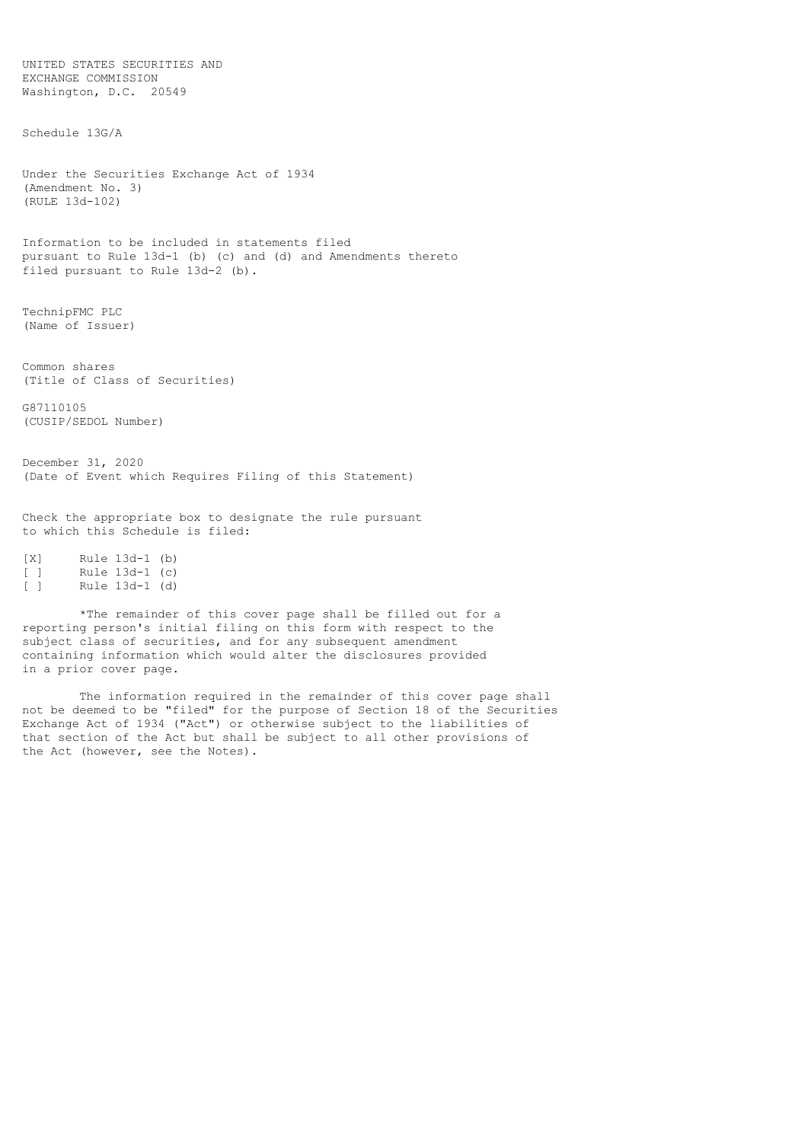EXCHANGE COMMISSION Washington, D.C. 20549 Schedule 13G/A Under the Securities Exchange Act of 1934 (Amendment No. 3) (RULE 13d-102) Information to be included in statements filed pursuant to Rule 13d-1 (b) (c) and (d) and Amendments thereto filed pursuant to Rule 13d-2 (b). TechnipFMC PLC (Name of Issuer) Common shares (Title of Class of Securities) G87110105 (CUSIP/SEDOL Number) December 31, 2020 (Date of Event which Requires Filing of this Statement) Check the appropriate box to designate the rule pursuant to which this Schedule is filed: [X] Rule 13d-1 (b) [ ] Rule 13d-1 (c)<br>[ ] Rule 13d-1 (d) Rule 13d-1 (d)

UNITED STATES SECURITIES AND

\*The remainder of this cover page shall be filled out for a reporting person's initial filing on this form with respect to the subject class of securities, and for any subsequent amendment containing information which would alter the disclosures provided in a prior cover page.

The information required in the remainder of this cover page shall not be deemed to be "filed" for the purpose of Section 18 of the Securities Exchange Act of 1934 ("Act") or otherwise subject to the liabilities of that section of the Act but shall be subject to all other provisions of the Act (however, see the Notes).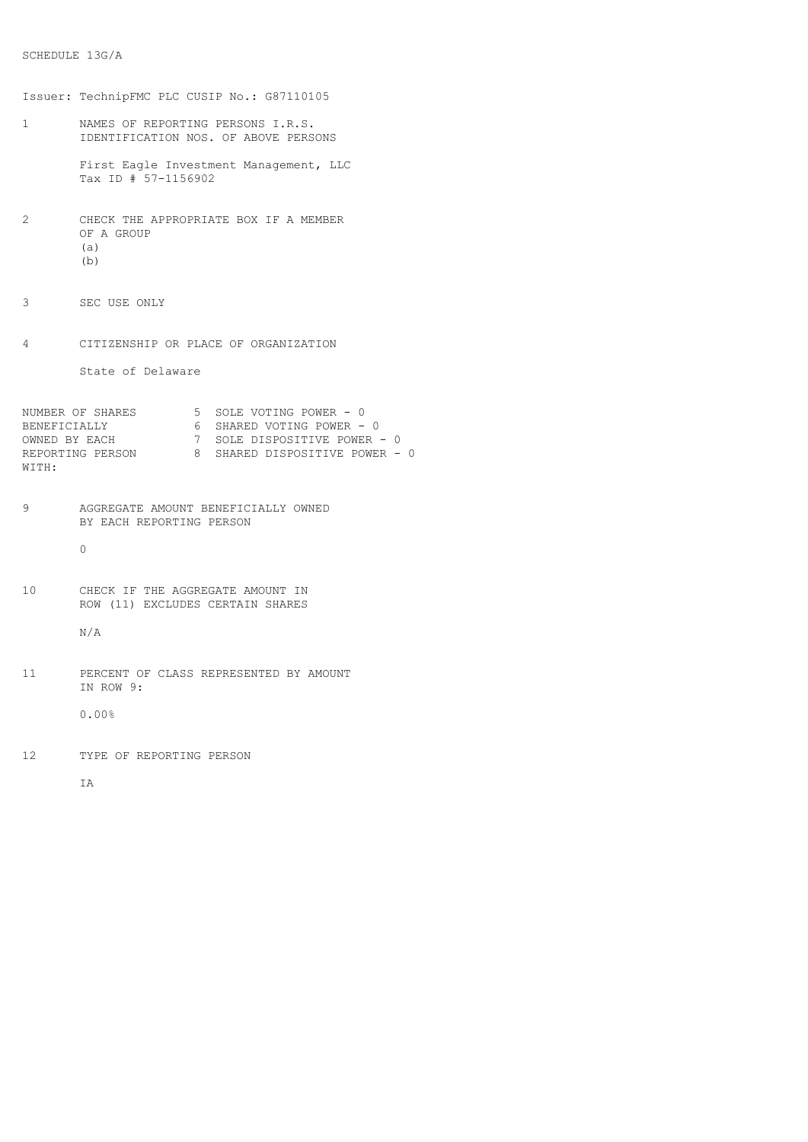```
SCHEDULE 13G/A
```

```
Issuer: TechnipFMC PLC CUSIP No.: G87110105
1 NAMES OF REPORTING PERSONS I.R.S.
       IDENTIFICATION NOS. OF ABOVE PERSONS
       First Eagle Investment Management, LLC
       Tax ID # 57-1156902
2 CHECK THE APPROPRIATE BOX IF A MEMBER
       OF A GROUP
       (a)
       (b)
3 SEC USE ONLY
4 CITIZENSHIP OR PLACE OF ORGANIZATION
       State of Delaware
NUMBER OF SHARES 5 SOLE VOTING POWER - 0
BENEFICIALLY 6 SHARED VOTING POWER - 0
OWNED BY EACH 7 SOLE DISPOSITIVE POWER - 0
REPORTING PERSON 8 SHARED DISPOSITIVE POWER - 0
WITH:
9 AGGREGATE AMOUNT BENEFICIALLY OWNED
      BY EACH REPORTING PERSON
       \Omega10 CHECK IF THE AGGREGATE AMOUNT IN
       ROW (11) EXCLUDES CERTAIN SHARES
       N/A
11 PERCENT OF CLASS REPRESENTED BY AMOUNT
        IN ROW 9:
        0.00%
12 TYPE OF REPORTING PERSON
```
T<sub>A</sub>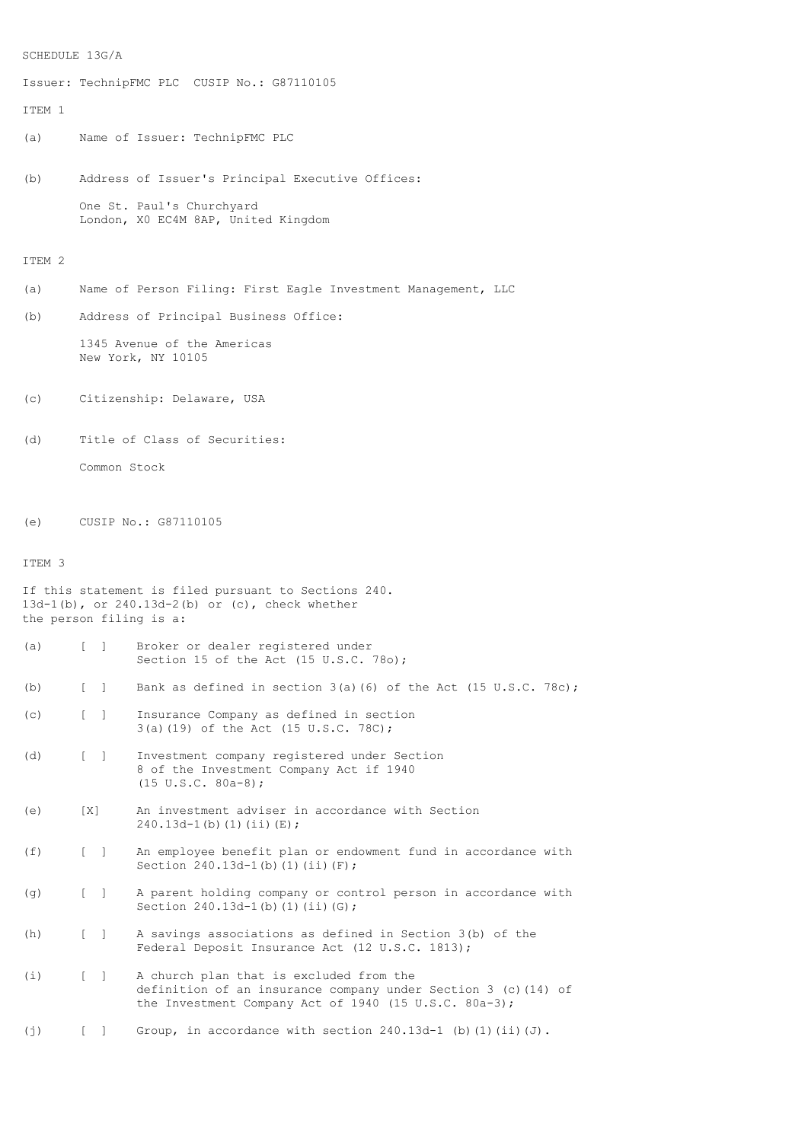```
SCHEDULE 13G/A
```
Issuer: TechnipFMC PLC CUSIP No.: G87110105 ITEM 1 (a) Name of Issuer: TechnipFMC PLC (b) Address of Issuer's Principal Executive Offices: One St. Paul's Churchyard London, X0 EC4M 8AP, United Kingdom ITEM 2 (a) Name of Person Filing: First Eagle Investment Management, LLC (b) Address of Principal Business Office: 1345 Avenue of the Americas New York, NY 10105 (c) Citizenship: Delaware, USA (d) Title of Class of Securities: Common Stock (e) CUSIP No.: G87110105 ITEM 3 If this statement is filed pursuant to Sections 240. 13d-1(b), or 240.13d-2(b) or (c), check whether the person filing is a: (a) [ ] Broker or dealer registered under Section 15 of the Act (15 U.S.C. 78o); (b)  $\begin{bmatrix} \end{bmatrix}$  Bank as defined in section 3(a)(6) of the Act (15 U.S.C. 78c); (c) [ ] Insurance Company as defined in section 3(a)(19) of the Act (15 U.S.C. 78C); (d) [ ] Investment company registered under Section 8 of the Investment Company Act if 1940 (15 U.S.C. 80a-8); (e) [X] An investment adviser in accordance with Section  $240.13d-1$ (b)(1)(ii)(E); (f) [ ] An employee benefit plan or endowment fund in accordance with Section 240.13d-1(b)(1)(ii)(F); (g) [ ] A parent holding company or control person in accordance with Section 240.13d-1(b)(1)(ii)(G); (h) [ ] A savings associations as defined in Section 3(b) of the Federal Deposit Insurance Act (12 U.S.C. 1813); (i) [ ] A church plan that is excluded from the definition of an insurance company under Section 3 (c)(14) of the Investment Company Act of 1940 (15 U.S.C. 80a-3);

(j)  $[ ]$  Group, in accordance with section 240.13d-1 (b)(1)(ii)(J).